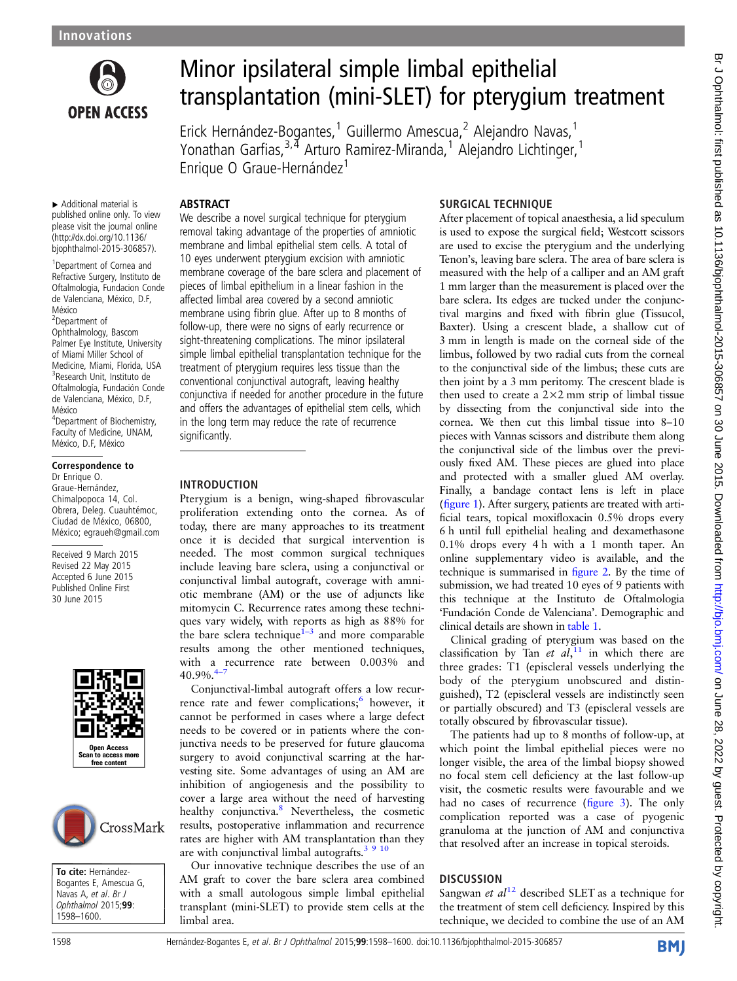

# Minor ipsilateral simple limbal epithelial transplantation (mini-SLET) for pterygium treatment

Erick Hernández-Bogantes,<sup>1</sup> Guillermo Amescua,<sup>2</sup> Alejandro Navas,<sup>1</sup> Yonathan Garfias,3,4 Arturo Ramirez-Miranda,<sup>1</sup> Alejandro Lichtinger,<sup>1</sup> Enrique O Graue-Hernández<sup>1</sup>

### ABSTRACT

▸ Additional material is published online only. To view please visit the journal online [\(http://dx.doi.org/10.1136/](http://dx.doi.org/10.1136/bjophthalmol-2015-306857) [bjophthalmol-2015-306857\)](http://dx.doi.org/10.1136/bjophthalmol-2015-306857).

<sup>1</sup> Department of Cornea and Refractive Surgery, Instituto de Oftalmologia, Fundacion Conde de Valenciana, México, D.F, México

2 Department of Ophthalmology, Bascom Palmer Eye Institute, University of Miami Miller School of Medicine, Miami, Florida, USA 3 Research Unit, Instituto de Oftalmología, Fundación Conde de Valenciana, México, D.F, México 4 Department of Biochemistry, Faculty of Medicine, UNAM,

# México, D.F, México

#### Correspondence to Dr Enrique O. Graue-Hernández, Chimalpopoca 14, Col. Obrera, Deleg. Cuauhtémoc, Ciudad de México, 06800, México; egraueh@gmail.com

Received 9 March 2015 Revised 22 May 2015 Accepted 6 June 2015 Published Online First 30 June 2015





To cite: Hernández-Bogantes E, Amescua G, Navas A, et al. Br J<br>Onhthalmol 2015:9 *Ophthalmol* 2015;**99**:<br>1598–1600 1598–1600.

We describe a novel surgical technique for pterygium removal taking advantage of the properties of amniotic membrane and limbal epithelial stem cells. A total of 10 eyes underwent pterygium excision with amniotic membrane coverage of the bare sclera and placement of pieces of limbal epithelium in a linear fashion in the affected limbal area covered by a second amniotic membrane using fibrin glue. After up to 8 months of follow-up, there were no signs of early recurrence or sight-threatening complications. The minor ipsilateral simple limbal epithelial transplantation technique for the treatment of pterygium requires less tissue than the conventional conjunctival autograft, leaving healthy conjunctiva if needed for another procedure in the future and offers the advantages of epithelial stem cells, which in the long term may reduce the rate of recurrence significantly.

#### INTRODUCTION

Pterygium is a benign, wing-shaped fibrovascular proliferation extending onto the cornea. As of today, there are many approaches to its treatment once it is decided that surgical intervention is needed. The most common surgical techniques include leaving bare sclera, using a conjunctival or conjunctival limbal autograft, coverage with amniotic membrane (AM) or the use of adjuncts like mitomycin C. Recurrence rates among these techniques vary widely, with reports as high as 88% for the bare sclera technique<sup> $1-3$  $1-3$ </sup> and more comparable results among the other mentioned techniques, with a recurrence rate between 0.003% and 40.9%.<sup>4</sup>

Conjunctival-limbal autograft offers a low recurrence rate and fewer complications; $\frac{6}{1}$  however, it cannot be performed in cases where a large defect needs to be covered or in patients where the conjunctiva needs to be preserved for future glaucoma surgery to avoid conjunctival scarring at the harvesting site. Some advantages of using an AM are inhibition of angiogenesis and the possibility to cover a large area without the need of harvesting healthy conjunctiva.<sup>[8](#page-2-0)</sup> Nevertheless, the cosmetic results, postoperative inflammation and recurrence rates are higher with AM transplantation than they are with conjunctival limbal autografts. $3910$ 

Our innovative technique describes the use of an AM graft to cover the bare sclera area combined with a small autologous simple limbal epithelial transplant (mini-SLET) to provide stem cells at the limbal area.

### SURGICAL TECHNIQUE

After placement of topical anaesthesia, a lid speculum is used to expose the surgical field; Westcott scissors are used to excise the pterygium and the underlying Tenon's, leaving bare sclera. The area of bare sclera is measured with the help of a calliper and an AM graft 1 mm larger than the measurement is placed over the bare sclera. Its edges are tucked under the conjunctival margins and fixed with fibrin glue (Tissucol, Baxter). Using a crescent blade, a shallow cut of 3 mm in length is made on the corneal side of the limbus, followed by two radial cuts from the corneal to the conjunctival side of the limbus; these cuts are then joint by a 3 mm peritomy. The crescent blade is then used to create a  $2 \times 2$  mm strip of limbal tissue by dissecting from the conjunctival side into the cornea. We then cut this limbal tissue into 8–10 pieces with Vannas scissors and distribute them along the conjunctival side of the limbus over the previously fixed AM. These pieces are glued into place and protected with a smaller glued AM overlay. Finally, a bandage contact lens is left in place (fi[gure 1](#page-1-0)). After surgery, patients are treated with artificial tears, topical moxifloxacin 0.5% drops every 6 h until full epithelial healing and dexamethasone 0.1% drops every 4 h with a 1 month taper. An online supplementary video is available, and the technique is summarised in fi[gure 2.](#page-1-0) By the time of submission, we had treated 10 eyes of 9 patients with this technique at the Instituto de Oftalmologia 'Fundación Conde de Valenciana'. Demographic and clinical details are shown in [table 1.](#page-1-0)

Clinical grading of pterygium was based on the classification by Tan et  $al$ ,<sup>[11](#page-2-0)</sup> in which there are three grades: T1 (episcleral vessels underlying the body of the pterygium unobscured and distinguished), T2 (episcleral vessels are indistinctly seen or partially obscured) and T3 (episcleral vessels are totally obscured by fibrovascular tissue).

The patients had up to 8 months of follow-up, at which point the limbal epithelial pieces were no longer visible, the area of the limbal biopsy showed no focal stem cell deficiency at the last follow-up visit, the cosmetic results were favourable and we had no cases of recurrence (fi[gure 3](#page-2-0)). The only complication reported was a case of pyogenic granuloma at the junction of AM and conjunctiva that resolved after an increase in topical steroids.

## **DISCUSSION**

Sangwan et  $al^{12}$  $al^{12}$  $al^{12}$  described SLET as a technique for the treatment of stem cell deficiency. Inspired by this technique, we decided to combine the use of an AM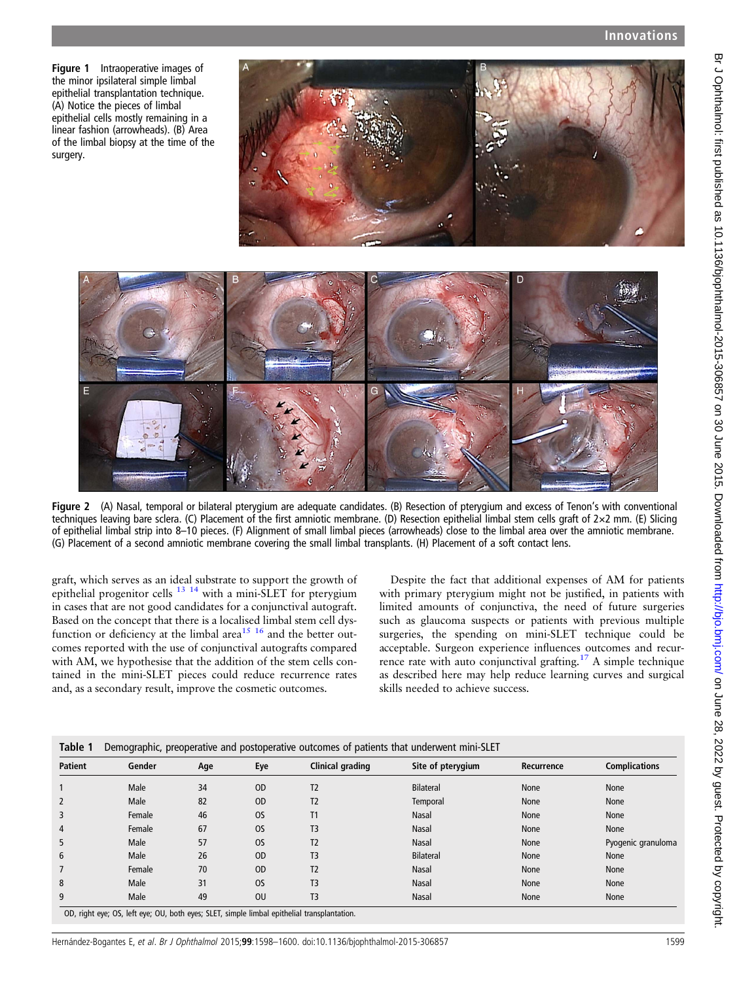<span id="page-1-0"></span>Figure 1 Intraoperative images of the minor ipsilateral simple limbal epithelial transplantation technique. (A) Notice the pieces of limbal epithelial cells mostly remaining in a linear fashion (arrowheads). (B) Area of the limbal biopsy at the time of the surgery.

E



Figure 2 (A) Nasal, temporal or bilateral pterygium are adequate candidates. (B) Resection of pterygium and excess of Tenon's with conventional techniques leaving bare sclera. (C) Placement of the first amniotic membrane. (D) Resection epithelial limbal stem cells graft of 2×2 mm. (E) Slicing of epithelial limbal strip into 8–10 pieces. (F) Alignment of small limbal pieces (arrowheads) close to the limbal area over the amniotic membrane. (G) Placement of a second amniotic membrane covering the small limbal transplants. (H) Placement of a soft contact lens.

graft, which serves as an ideal substrate to support the growth of epithelial progenitor cells  $^{13}$  <sup>14</sup> with a mini-SLET for pterygium in cases that are not good candidates for a conjunctival autograft. Based on the concept that there is a localised limbal stem cell dysfunction or deficiency at the limbal area<sup>15 16</sup> and the better outcomes reported with the use of conjunctival autografts compared with AM, we hypothesise that the addition of the stem cells contained in the mini-SLET pieces could reduce recurrence rates and, as a secondary result, improve the cosmetic outcomes.

Despite the fact that additional expenses of AM for patients with primary pterygium might not be justified, in patients with limited amounts of conjunctiva, the need of future surgeries such as glaucoma suspects or patients with previous multiple surgeries, the spending on mini-SLET technique could be acceptable. Surgeon experience influences outcomes and recurrence rate with auto conjunctival grafting.[17](#page-2-0) A simple technique as described here may help reduce learning curves and surgical skills needed to achieve success.

| <b>Patient</b> | Gender | Age | Eye           | Clinical grading | Site of pterygium | Recurrence | <b>Complications</b> |
|----------------|--------|-----|---------------|------------------|-------------------|------------|----------------------|
|                | Male   | 34  | <sub>OD</sub> | T <sub>2</sub>   | <b>Bilateral</b>  | None       | None                 |
| 2              | Male   | 82  | <sub>OD</sub> | T2               | Temporal          | None       | None                 |
| 3              | Female | 46  | <b>OS</b>     | T1               | Nasal             | None       | None                 |
| 4              | Female | 67  | <b>OS</b>     | T <sub>3</sub>   | Nasal             | None       | None                 |
| 5              | Male   | 57  | <b>OS</b>     | T <sub>2</sub>   | Nasal             | None       | Pyogenic granuloma   |
| 6              | Male   | 26  | <sub>OD</sub> | T <sub>3</sub>   | <b>Bilateral</b>  | None       | None                 |
|                | Female | 70  | <sub>OD</sub> | T2               | Nasal             | None       | None                 |
| 8              | Male   | 31  | <b>OS</b>     | T3               | <b>Nasal</b>      | None       | None                 |
| 9              | Male   | 49  | <b>OU</b>     | T <sub>3</sub>   | Nasal             | None       | None                 |

)D, right eye; OS, left eye; OU, both eyes; SLET, simple limbal epithelial transp